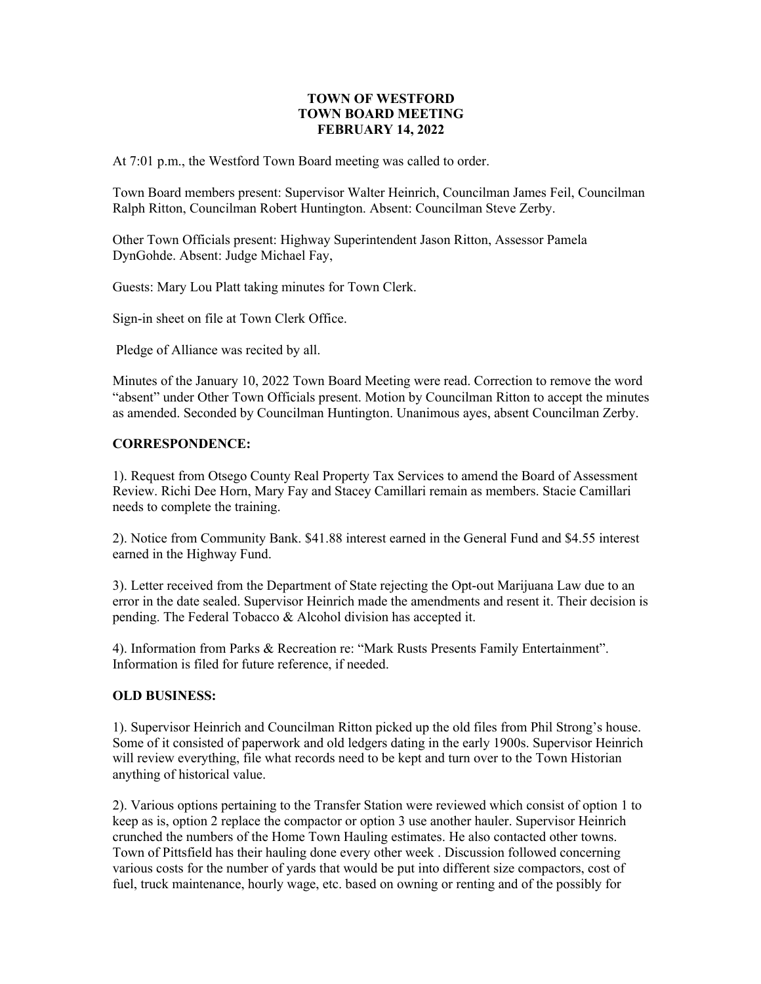# **TOWN OF WESTFORD TOWN BOARD MEETING FEBRUARY 14, 2022**

At 7:01 p.m., the Westford Town Board meeting was called to order.

Town Board members present: Supervisor Walter Heinrich, Councilman James Feil, Councilman Ralph Ritton, Councilman Robert Huntington. Absent: Councilman Steve Zerby.

Other Town Officials present: Highway Superintendent Jason Ritton, Assessor Pamela DynGohde. Absent: Judge Michael Fay,

Guests: Mary Lou Platt taking minutes for Town Clerk.

Sign-in sheet on file at Town Clerk Office.

Pledge of Alliance was recited by all.

Minutes of the January 10, 2022 Town Board Meeting were read. Correction to remove the word "absent" under Other Town Officials present. Motion by Councilman Ritton to accept the minutes as amended. Seconded by Councilman Huntington. Unanimous ayes, absent Councilman Zerby.

### **CORRESPONDENCE:**

1). Request from Otsego County Real Property Tax Services to amend the Board of Assessment Review. Richi Dee Horn, Mary Fay and Stacey Camillari remain as members. Stacie Camillari needs to complete the training.

2). Notice from Community Bank. \$41.88 interest earned in the General Fund and \$4.55 interest earned in the Highway Fund.

3). Letter received from the Department of State rejecting the Opt-out Marijuana Law due to an error in the date sealed. Supervisor Heinrich made the amendments and resent it. Their decision is pending. The Federal Tobacco & Alcohol division has accepted it.

4). Information from Parks & Recreation re: "Mark Rusts Presents Family Entertainment". Information is filed for future reference, if needed.

### **OLD BUSINESS:**

1). Supervisor Heinrich and Councilman Ritton picked up the old files from Phil Strong's house. Some of it consisted of paperwork and old ledgers dating in the early 1900s. Supervisor Heinrich will review everything, file what records need to be kept and turn over to the Town Historian anything of historical value.

2). Various options pertaining to the Transfer Station were reviewed which consist of option 1 to keep as is, option 2 replace the compactor or option 3 use another hauler. Supervisor Heinrich crunched the numbers of the Home Town Hauling estimates. He also contacted other towns. Town of Pittsfield has their hauling done every other week . Discussion followed concerning various costs for the number of yards that would be put into different size compactors, cost of fuel, truck maintenance, hourly wage, etc. based on owning or renting and of the possibly for